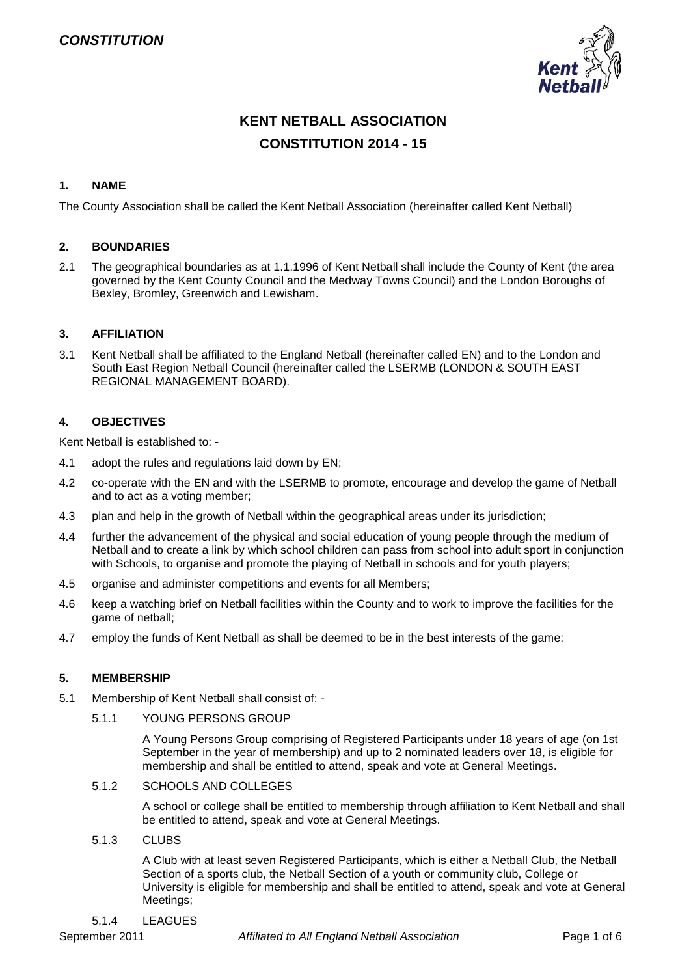

# **KENT NETBALL ASSOCIATION CONSTITUTION 2014 - 15**

### **1. NAME**

The County Association shall be called the Kent Netball Association (hereinafter called Kent Netball)

### **2. BOUNDARIES**

2.1 The geographical boundaries as at 1.1.1996 of Kent Netball shall include the County of Kent (the area governed by the Kent County Council and the Medway Towns Council) and the London Boroughs of Bexley, Bromley, Greenwich and Lewisham.

### **3. AFFILIATION**

3.1 Kent Netball shall be affiliated to the England Netball (hereinafter called EN) and to the London and South East Region Netball Council (hereinafter called the LSERMB (LONDON & SOUTH EAST REGIONAL MANAGEMENT BOARD).

### **4. OBJECTIVES**

Kent Netball is established to: -

- 4.1 adopt the rules and regulations laid down by EN;
- 4.2 co-operate with the EN and with the LSERMB to promote, encourage and develop the game of Netball and to act as a voting member;
- 4.3 plan and help in the growth of Netball within the geographical areas under its jurisdiction;
- 4.4 further the advancement of the physical and social education of young people through the medium of Netball and to create a link by which school children can pass from school into adult sport in conjunction with Schools, to organise and promote the playing of Netball in schools and for youth players;
- 4.5 organise and administer competitions and events for all Members;
- 4.6 keep a watching brief on Netball facilities within the County and to work to improve the facilities for the game of netball;
- 4.7 employ the funds of Kent Netball as shall be deemed to be in the best interests of the game:

### **5. MEMBERSHIP**

- 5.1 Membership of Kent Netball shall consist of:
	- 5.1.1 YOUNG PERSONS GROUP

A Young Persons Group comprising of Registered Participants under 18 years of age (on 1st September in the year of membership) and up to 2 nominated leaders over 18, is eligible for membership and shall be entitled to attend, speak and vote at General Meetings.

5.1.2 SCHOOLS AND COLLEGES

A school or college shall be entitled to membership through affiliation to Kent Netball and shall be entitled to attend, speak and vote at General Meetings.

5.1.3 CLUBS

A Club with at least seven Registered Participants, which is either a Netball Club, the Netball Section of a sports club, the Netball Section of a youth or community club, College or University is eligible for membership and shall be entitled to attend, speak and vote at General Meetings;

#### 5.1.4 LEAGUES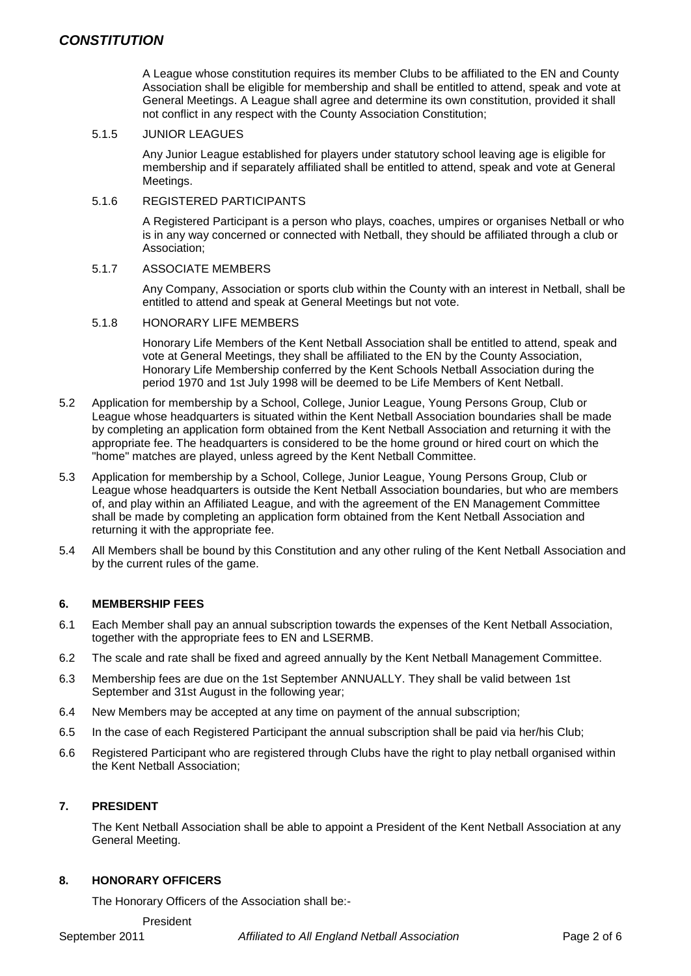A League whose constitution requires its member Clubs to be affiliated to the EN and County Association shall be eligible for membership and shall be entitled to attend, speak and vote at General Meetings. A League shall agree and determine its own constitution, provided it shall not conflict in any respect with the County Association Constitution;

### 5.1.5 JUNIOR LEAGUES

Any Junior League established for players under statutory school leaving age is eligible for membership and if separately affiliated shall be entitled to attend, speak and vote at General Meetings.

#### 5.1.6 REGISTERED PARTICIPANTS

A Registered Participant is a person who plays, coaches, umpires or organises Netball or who is in any way concerned or connected with Netball, they should be affiliated through a club or Association;

#### 5.1.7 ASSOCIATE MEMBERS

Any Company, Association or sports club within the County with an interest in Netball, shall be entitled to attend and speak at General Meetings but not vote.

#### 5.1.8 HONORARY LIFE MEMBERS

Honorary Life Members of the Kent Netball Association shall be entitled to attend, speak and vote at General Meetings, they shall be affiliated to the EN by the County Association, Honorary Life Membership conferred by the Kent Schools Netball Association during the period 1970 and 1st July 1998 will be deemed to be Life Members of Kent Netball.

- 5.2 Application for membership by a School, College, Junior League, Young Persons Group, Club or League whose headquarters is situated within the Kent Netball Association boundaries shall be made by completing an application form obtained from the Kent Netball Association and returning it with the appropriate fee. The headquarters is considered to be the home ground or hired court on which the "home" matches are played, unless agreed by the Kent Netball Committee.
- 5.3 Application for membership by a School, College, Junior League, Young Persons Group, Club or League whose headquarters is outside the Kent Netball Association boundaries, but who are members of, and play within an Affiliated League, and with the agreement of the EN Management Committee shall be made by completing an application form obtained from the Kent Netball Association and returning it with the appropriate fee.
- 5.4 All Members shall be bound by this Constitution and any other ruling of the Kent Netball Association and by the current rules of the game.

### **6. MEMBERSHIP FEES**

- 6.1 Each Member shall pay an annual subscription towards the expenses of the Kent Netball Association, together with the appropriate fees to EN and LSERMB.
- 6.2 The scale and rate shall be fixed and agreed annually by the Kent Netball Management Committee.
- 6.3 Membership fees are due on the 1st September ANNUALLY. They shall be valid between 1st September and 31st August in the following year;
- 6.4 New Members may be accepted at any time on payment of the annual subscription;
- 6.5 In the case of each Registered Participant the annual subscription shall be paid via her/his Club;
- 6.6 Registered Participant who are registered through Clubs have the right to play netball organised within the Kent Netball Association;

### **7. PRESIDENT**

The Kent Netball Association shall be able to appoint a President of the Kent Netball Association at any General Meeting.

### **8. HONORARY OFFICERS**

The Honorary Officers of the Association shall be:-

President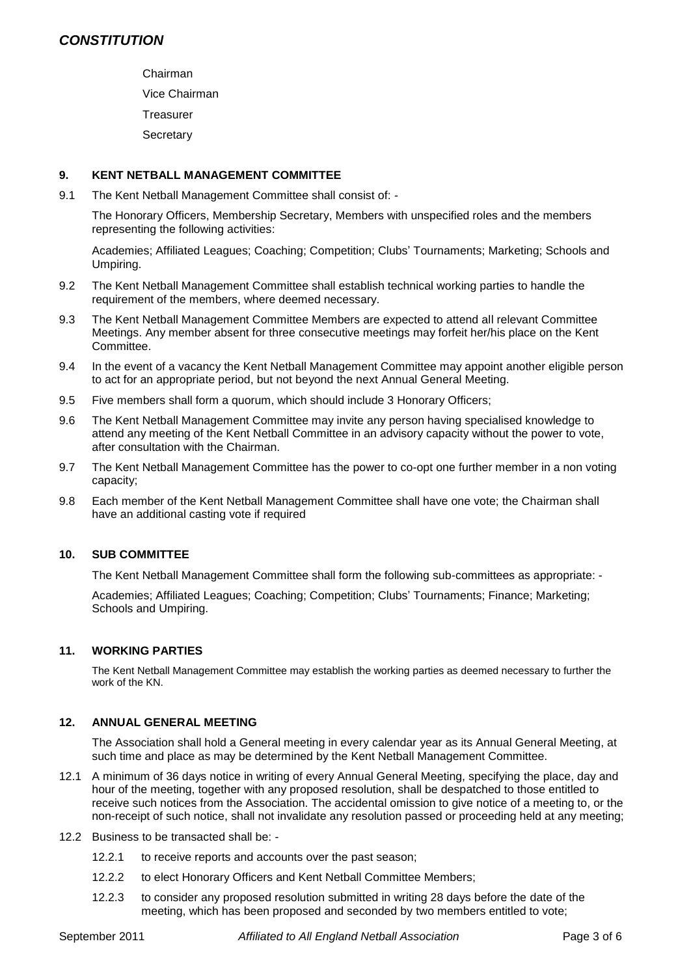Chairman Vice Chairman **Treasurer Secretary** 

### **9. KENT NETBALL MANAGEMENT COMMITTEE**

9.1 The Kent Netball Management Committee shall consist of: -

The Honorary Officers, Membership Secretary, Members with unspecified roles and the members representing the following activities:

Academies; Affiliated Leagues; Coaching; Competition; Clubs' Tournaments; Marketing; Schools and Umpiring.

- 9.2 The Kent Netball Management Committee shall establish technical working parties to handle the requirement of the members, where deemed necessary.
- 9.3 The Kent Netball Management Committee Members are expected to attend all relevant Committee Meetings. Any member absent for three consecutive meetings may forfeit her/his place on the Kent Committee.
- 9.4 In the event of a vacancy the Kent Netball Management Committee may appoint another eligible person to act for an appropriate period, but not beyond the next Annual General Meeting.
- 9.5 Five members shall form a quorum, which should include 3 Honorary Officers;
- 9.6 The Kent Netball Management Committee may invite any person having specialised knowledge to attend any meeting of the Kent Netball Committee in an advisory capacity without the power to vote, after consultation with the Chairman.
- 9.7 The Kent Netball Management Committee has the power to co-opt one further member in a non voting capacity;
- 9.8 Each member of the Kent Netball Management Committee shall have one vote; the Chairman shall have an additional casting vote if required

### **10. SUB COMMITTEE**

The Kent Netball Management Committee shall form the following sub-committees as appropriate: -

Academies; Affiliated Leagues; Coaching; Competition; Clubs' Tournaments; Finance; Marketing; Schools and Umpiring.

### **11. WORKING PARTIES**

The Kent Netball Management Committee may establish the working parties as deemed necessary to further the work of the KN.

### **12. ANNUAL GENERAL MEETING**

The Association shall hold a General meeting in every calendar year as its Annual General Meeting, at such time and place as may be determined by the Kent Netball Management Committee.

- 12.1 A minimum of 36 days notice in writing of every Annual General Meeting, specifying the place, day and hour of the meeting, together with any proposed resolution, shall be despatched to those entitled to receive such notices from the Association. The accidental omission to give notice of a meeting to, or the non-receipt of such notice, shall not invalidate any resolution passed or proceeding held at any meeting;
- 12.2 Business to be transacted shall be:
	- 12.2.1 to receive reports and accounts over the past season;
	- 12.2.2 to elect Honorary Officers and Kent Netball Committee Members;
	- 12.2.3 to consider any proposed resolution submitted in writing 28 days before the date of the meeting, which has been proposed and seconded by two members entitled to vote;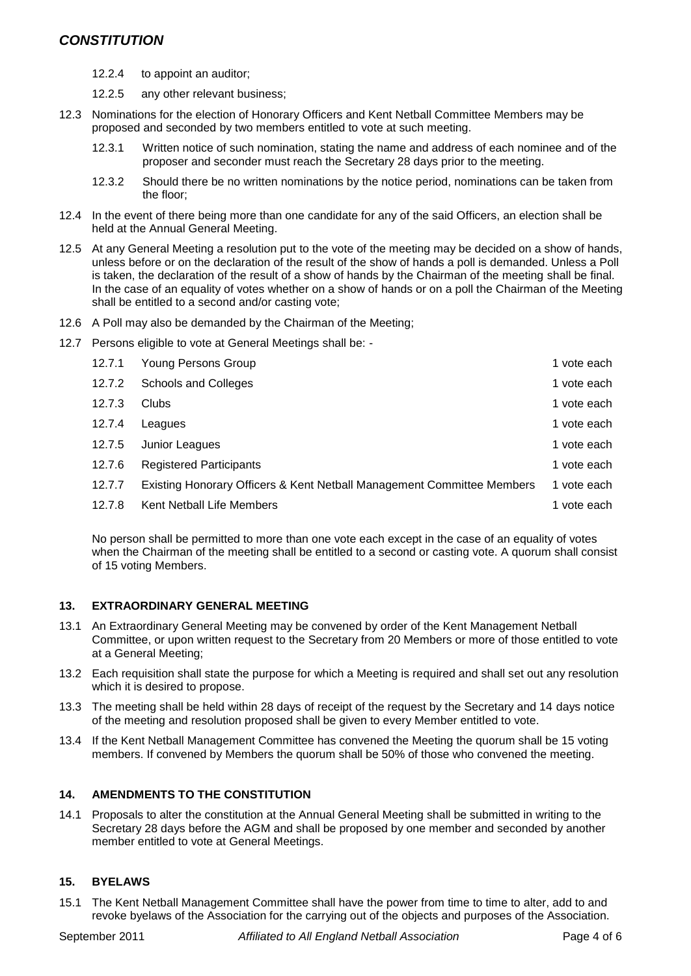## *CONSTITUTION*

- 12.2.4 to appoint an auditor;
- 12.2.5 any other relevant business;
- 12.3 Nominations for the election of Honorary Officers and Kent Netball Committee Members may be proposed and seconded by two members entitled to vote at such meeting.
	- 12.3.1 Written notice of such nomination, stating the name and address of each nominee and of the proposer and seconder must reach the Secretary 28 days prior to the meeting.
	- 12.3.2 Should there be no written nominations by the notice period, nominations can be taken from the floor;
- 12.4 In the event of there being more than one candidate for any of the said Officers, an election shall be held at the Annual General Meeting.
- 12.5 At any General Meeting a resolution put to the vote of the meeting may be decided on a show of hands, unless before or on the declaration of the result of the show of hands a poll is demanded. Unless a Poll is taken, the declaration of the result of a show of hands by the Chairman of the meeting shall be final. In the case of an equality of votes whether on a show of hands or on a poll the Chairman of the Meeting shall be entitled to a second and/or casting vote;
- 12.6 A Poll may also be demanded by the Chairman of the Meeting;
- 12.7 Persons eligible to vote at General Meetings shall be: -

| 12.7.1 | Young Persons Group                                                    | 1 vote each |
|--------|------------------------------------------------------------------------|-------------|
| 12.7.2 | <b>Schools and Colleges</b>                                            | 1 vote each |
| 12.7.3 | Clubs                                                                  | 1 vote each |
| 12.7.4 | Leagues                                                                | 1 vote each |
| 12.7.5 | Junior Leagues                                                         | 1 vote each |
| 12.7.6 | <b>Registered Participants</b>                                         | 1 vote each |
| 12.7.7 | Existing Honorary Officers & Kent Netball Management Committee Members | 1 vote each |
| 12.7.8 | Kent Netball Life Members                                              | 1 vote each |

No person shall be permitted to more than one vote each except in the case of an equality of votes when the Chairman of the meeting shall be entitled to a second or casting vote. A quorum shall consist of 15 voting Members.

### **13. EXTRAORDINARY GENERAL MEETING**

- 13.1 An Extraordinary General Meeting may be convened by order of the Kent Management Netball Committee, or upon written request to the Secretary from 20 Members or more of those entitled to vote at a General Meeting;
- 13.2 Each requisition shall state the purpose for which a Meeting is required and shall set out any resolution which it is desired to propose.
- 13.3 The meeting shall be held within 28 days of receipt of the request by the Secretary and 14 days notice of the meeting and resolution proposed shall be given to every Member entitled to vote.
- 13.4 If the Kent Netball Management Committee has convened the Meeting the quorum shall be 15 voting members. If convened by Members the quorum shall be 50% of those who convened the meeting.

### **14. AMENDMENTS TO THE CONSTITUTION**

14.1 Proposals to alter the constitution at the Annual General Meeting shall be submitted in writing to the Secretary 28 days before the AGM and shall be proposed by one member and seconded by another member entitled to vote at General Meetings.

### **15. BYELAWS**

15.1 The Kent Netball Management Committee shall have the power from time to time to alter, add to and revoke byelaws of the Association for the carrying out of the objects and purposes of the Association.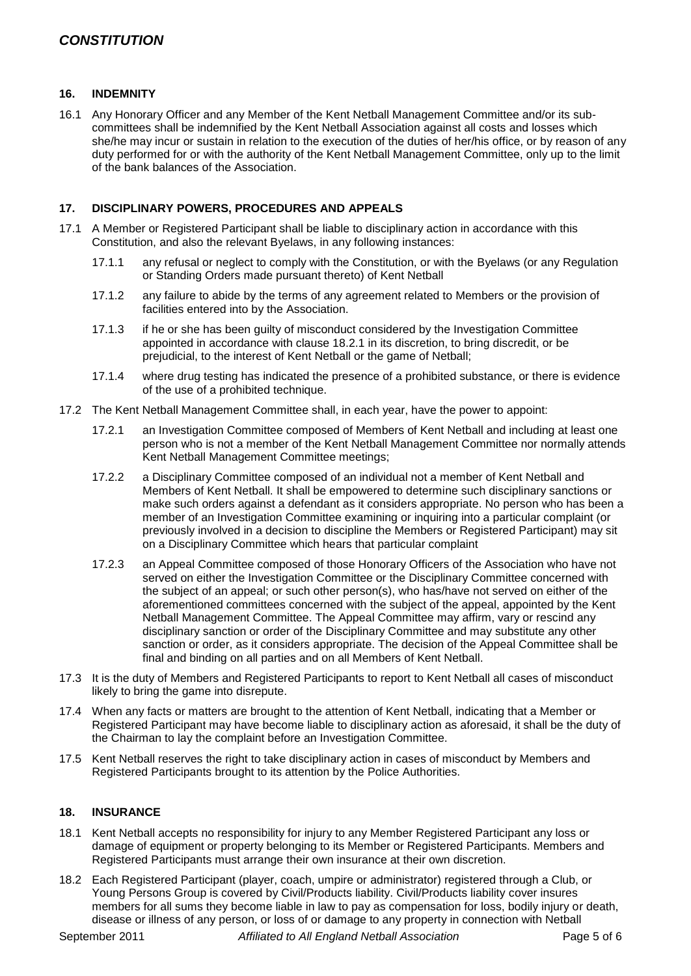#### **16. INDEMNITY**

16.1 Any Honorary Officer and any Member of the Kent Netball Management Committee and/or its subcommittees shall be indemnified by the Kent Netball Association against all costs and losses which she/he may incur or sustain in relation to the execution of the duties of her/his office, or by reason of any duty performed for or with the authority of the Kent Netball Management Committee, only up to the limit of the bank balances of the Association.

#### **17. DISCIPLINARY POWERS, PROCEDURES AND APPEALS**

- 17.1 A Member or Registered Participant shall be liable to disciplinary action in accordance with this Constitution, and also the relevant Byelaws, in any following instances:
	- 17.1.1 any refusal or neglect to comply with the Constitution, or with the Byelaws (or any Regulation or Standing Orders made pursuant thereto) of Kent Netball
	- 17.1.2 any failure to abide by the terms of any agreement related to Members or the provision of facilities entered into by the Association.
	- 17.1.3 if he or she has been guilty of misconduct considered by the Investigation Committee appointed in accordance with clause 18.2.1 in its discretion, to bring discredit, or be prejudicial, to the interest of Kent Netball or the game of Netball;
	- 17.1.4 where drug testing has indicated the presence of a prohibited substance, or there is evidence of the use of a prohibited technique.
- 17.2 The Kent Netball Management Committee shall, in each year, have the power to appoint:
	- 17.2.1 an Investigation Committee composed of Members of Kent Netball and including at least one person who is not a member of the Kent Netball Management Committee nor normally attends Kent Netball Management Committee meetings;
	- 17.2.2 a Disciplinary Committee composed of an individual not a member of Kent Netball and Members of Kent Netball. It shall be empowered to determine such disciplinary sanctions or make such orders against a defendant as it considers appropriate. No person who has been a member of an Investigation Committee examining or inquiring into a particular complaint (or previously involved in a decision to discipline the Members or Registered Participant) may sit on a Disciplinary Committee which hears that particular complaint
	- 17.2.3 an Appeal Committee composed of those Honorary Officers of the Association who have not served on either the Investigation Committee or the Disciplinary Committee concerned with the subject of an appeal; or such other person(s), who has/have not served on either of the aforementioned committees concerned with the subject of the appeal, appointed by the Kent Netball Management Committee. The Appeal Committee may affirm, vary or rescind any disciplinary sanction or order of the Disciplinary Committee and may substitute any other sanction or order, as it considers appropriate. The decision of the Appeal Committee shall be final and binding on all parties and on all Members of Kent Netball.
- 17.3 It is the duty of Members and Registered Participants to report to Kent Netball all cases of misconduct likely to bring the game into disrepute.
- 17.4 When any facts or matters are brought to the attention of Kent Netball, indicating that a Member or Registered Participant may have become liable to disciplinary action as aforesaid, it shall be the duty of the Chairman to lay the complaint before an Investigation Committee.
- 17.5 Kent Netball reserves the right to take disciplinary action in cases of misconduct by Members and Registered Participants brought to its attention by the Police Authorities.

#### **18. INSURANCE**

- 18.1 Kent Netball accepts no responsibility for injury to any Member Registered Participant any loss or damage of equipment or property belonging to its Member or Registered Participants. Members and Registered Participants must arrange their own insurance at their own discretion.
- 18.2 Each Registered Participant (player, coach, umpire or administrator) registered through a Club, or Young Persons Group is covered by Civil/Products liability. Civil/Products liability cover insures members for all sums they become liable in law to pay as compensation for loss, bodily injury or death, disease or illness of any person, or loss of or damage to any property in connection with Netball